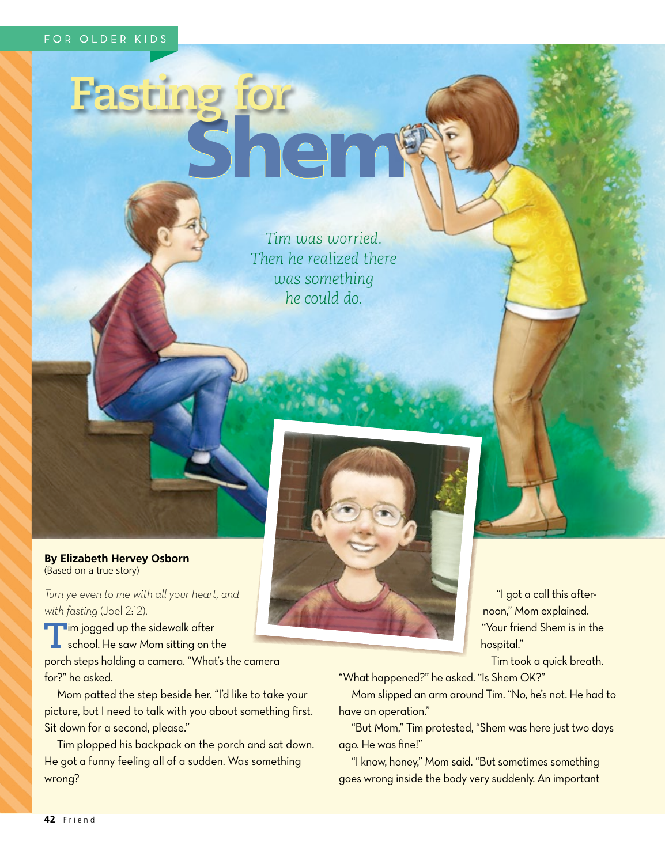## sting for<br>She

*Tim was worried. Then he realized there was something he could do.*



*Turn ye even to me with all your heart, and with fasting* (Joel 2:12).

**T**im jogged up the sidewalk after school. He saw Mom sitting on the porch steps holding a camera. "What's the camera for?" he asked.

Mom patted the step beside her. "I'd like to take your picture, but I need to talk with you about something first. Sit down for a second, please."

Tim plopped his backpack on the porch and sat down. He got a funny feeling all of a sudden. Was something wrong?

"I got a call this afternoon," Mom explained. "Your friend Shem is in the hospital."

Tim took a quick breath.

"What happened?" he asked. "Is Shem OK?"

Mom slipped an arm around Tim. "No, he's not. He had to have an operation."

"But Mom," Tim protested, "Shem was here just two days ago. He was fine!"

"I know, honey," Mom said. "But sometimes something goes wrong inside the body very suddenly. An important